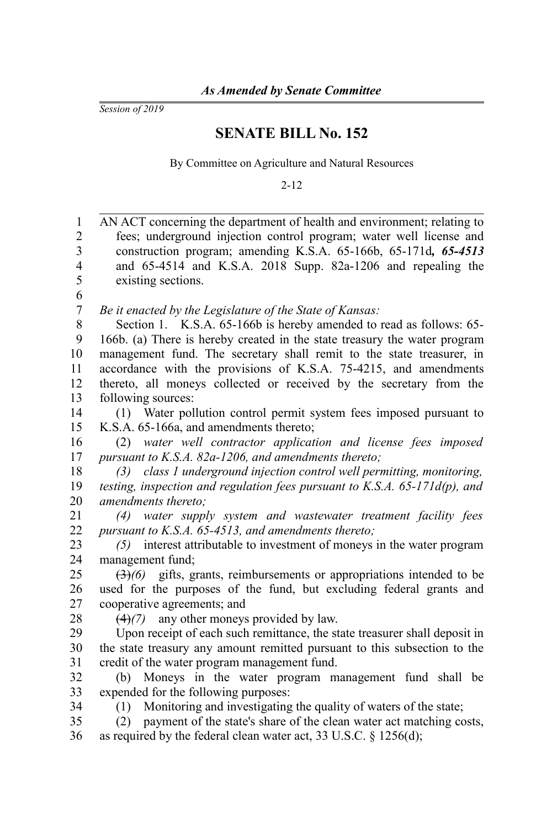*Session of 2019*

## **SENATE BILL No. 152**

By Committee on Agriculture and Natural Resources

2-12

| $\mathbf{1}$   | AN ACT concerning the department of health and environment; relating to                   |
|----------------|-------------------------------------------------------------------------------------------|
| $\overline{2}$ | fees; underground injection control program; water well license and                       |
| 3              | construction program; amending K.S.A. 65-166b, 65-171d, 65-4513                           |
| 4              | and 65-4514 and K.S.A. 2018 Supp. 82a-1206 and repealing the                              |
| 5              | existing sections.                                                                        |
| 6              |                                                                                           |
| 7              | Be it enacted by the Legislature of the State of Kansas:                                  |
| 8              | Section 1. K.S.A. 65-166b is hereby amended to read as follows: 65-                       |
| 9              | 166b. (a) There is hereby created in the state treasury the water program                 |
| 10             | management fund. The secretary shall remit to the state treasurer, in                     |
| 11             | accordance with the provisions of K.S.A. 75-4215, and amendments                          |
| 12             | thereto, all moneys collected or received by the secretary from the                       |
| 13             | following sources:                                                                        |
| 14             | Water pollution control permit system fees imposed pursuant to<br>(1)                     |
| 15             | K.S.A. 65-166a, and amendments thereto;                                                   |
| 16             | water well contractor application and license fees imposed<br>(2)                         |
| 17             | pursuant to K.S.A. 82a-1206, and amendments thereto;                                      |
| 18             | class 1 underground injection control well permitting, monitoring,<br>(3)                 |
| 19             | testing, inspection and regulation fees pursuant to K.S.A. $65$ -171d(p), and             |
| 20             | amendments thereto;                                                                       |
| 21             | water supply system and wastewater treatment facility fees<br>(4)                         |
| 22             | pursuant to K.S.A. 65-4513, and amendments thereto;                                       |
| 23             | (5) interest attributable to investment of moneys in the water program                    |
| 24             | management fund;                                                                          |
| 25             | $\left(\frac{3}{2}\right)$ gifts, grants, reimbursements or appropriations intended to be |
| 26             | used for the purposes of the fund, but excluding federal grants and                       |
| 27             | cooperative agreements; and                                                               |
| 28             | any other moneys provided by law.<br>(4)(7)                                               |
| 29             | Upon receipt of each such remittance, the state treasurer shall deposit in                |
| 30             | the state treasury any amount remitted pursuant to this subsection to the                 |
| 31             | credit of the water program management fund.                                              |
| 32             | Moneys in the water program management fund shall be<br>(b)                               |
| 33             | expended for the following purposes:                                                      |
| 34             | Monitoring and investigating the quality of waters of the state;<br>(1)                   |
| 35             | payment of the state's share of the clean water act matching costs,<br>(2)                |
| 36             | as required by the federal clean water act, 33 U.S.C. $\S$ 1256(d);                       |
|                |                                                                                           |
|                |                                                                                           |
|                |                                                                                           |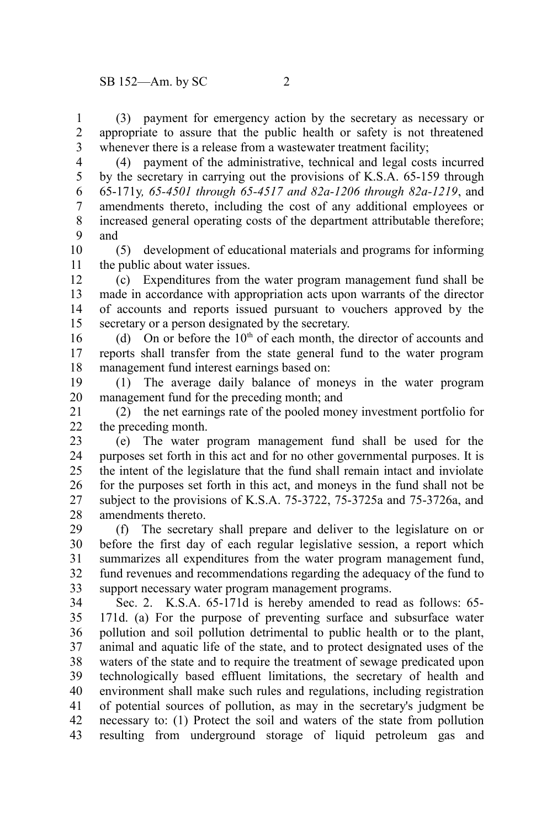(3) payment for emergency action by the secretary as necessary or appropriate to assure that the public health or safety is not threatened whenever there is a release from a wastewater treatment facility; 1 2 3

(4) payment of the administrative, technical and legal costs incurred by the secretary in carrying out the provisions of K.S.A. 65-159 through 65-171y*, 65-4501 through 65-4517 and 82a-1206 through 82a-1219*, and amendments thereto, including the cost of any additional employees or increased general operating costs of the department attributable therefore; and 4 5 6 7 8 9

(5) development of educational materials and programs for informing the public about water issues. 10 11

(c) Expenditures from the water program management fund shall be made in accordance with appropriation acts upon warrants of the director of accounts and reports issued pursuant to vouchers approved by the secretary or a person designated by the secretary. 12 13 14 15

(d) On or before the  $10<sup>th</sup>$  of each month, the director of accounts and reports shall transfer from the state general fund to the water program management fund interest earnings based on: 16 17 18

(1) The average daily balance of moneys in the water program management fund for the preceding month; and 19 20

(2) the net earnings rate of the pooled money investment portfolio for the preceding month. 21 22

(e) The water program management fund shall be used for the purposes set forth in this act and for no other governmental purposes. It is the intent of the legislature that the fund shall remain intact and inviolate for the purposes set forth in this act, and moneys in the fund shall not be subject to the provisions of K.S.A. 75-3722, 75-3725a and 75-3726a, and amendments thereto. 23 24 25 26 27 28

(f) The secretary shall prepare and deliver to the legislature on or before the first day of each regular legislative session, a report which summarizes all expenditures from the water program management fund, fund revenues and recommendations regarding the adequacy of the fund to support necessary water program management programs. 29 30 31 32 33

Sec. 2. K.S.A. 65-171d is hereby amended to read as follows: 65- 171d. (a) For the purpose of preventing surface and subsurface water pollution and soil pollution detrimental to public health or to the plant, animal and aquatic life of the state, and to protect designated uses of the waters of the state and to require the treatment of sewage predicated upon technologically based effluent limitations, the secretary of health and environment shall make such rules and regulations, including registration of potential sources of pollution, as may in the secretary's judgment be necessary to: (1) Protect the soil and waters of the state from pollution resulting from underground storage of liquid petroleum gas and 34 35 36 37 38 39 40 41 42 43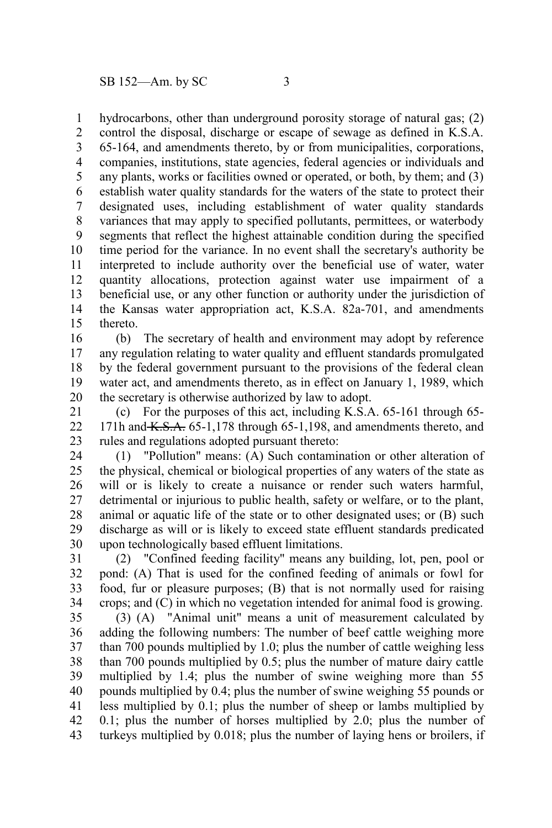hydrocarbons, other than underground porosity storage of natural gas; (2) 1

control the disposal, discharge or escape of sewage as defined in K.S.A. 65-164, and amendments thereto, by or from municipalities, corporations, companies, institutions, state agencies, federal agencies or individuals and any plants, works or facilities owned or operated, or both, by them; and (3) establish water quality standards for the waters of the state to protect their designated uses, including establishment of water quality standards variances that may apply to specified pollutants, permittees, or waterbody segments that reflect the highest attainable condition during the specified time period for the variance. In no event shall the secretary's authority be interpreted to include authority over the beneficial use of water, water quantity allocations, protection against water use impairment of a beneficial use, or any other function or authority under the jurisdiction of the Kansas water appropriation act, K.S.A. 82a-701, and amendments thereto. 2 3 4 5 6 7 8 9 10 11 12 13 14 15

(b) The secretary of health and environment may adopt by reference any regulation relating to water quality and effluent standards promulgated by the federal government pursuant to the provisions of the federal clean water act, and amendments thereto, as in effect on January 1, 1989, which the secretary is otherwise authorized by law to adopt. 16 17 18 19 20

(c) For the purposes of this act, including K.S.A. 65-161 through 65- 171h and  $K.S.A.$  65-1,178 through 65-1,198, and amendments thereto, and rules and regulations adopted pursuant thereto: 21 22 23

(1) "Pollution" means: (A) Such contamination or other alteration of the physical, chemical or biological properties of any waters of the state as will or is likely to create a nuisance or render such waters harmful, detrimental or injurious to public health, safety or welfare, or to the plant, animal or aquatic life of the state or to other designated uses; or (B) such discharge as will or is likely to exceed state effluent standards predicated upon technologically based effluent limitations. 24 25 26 27 28 29 30

(2) "Confined feeding facility" means any building, lot, pen, pool or pond: (A) That is used for the confined feeding of animals or fowl for food, fur or pleasure purposes; (B) that is not normally used for raising crops; and (C) in which no vegetation intended for animal food is growing. 31 32 33 34

(3) (A) "Animal unit" means a unit of measurement calculated by adding the following numbers: The number of beef cattle weighing more than 700 pounds multiplied by 1.0; plus the number of cattle weighing less than 700 pounds multiplied by 0.5; plus the number of mature dairy cattle multiplied by 1.4; plus the number of swine weighing more than 55 pounds multiplied by 0.4; plus the number of swine weighing 55 pounds or less multiplied by 0.1; plus the number of sheep or lambs multiplied by 0.1; plus the number of horses multiplied by 2.0; plus the number of turkeys multiplied by 0.018; plus the number of laying hens or broilers, if 35 36 37 38 39 40 41 42 43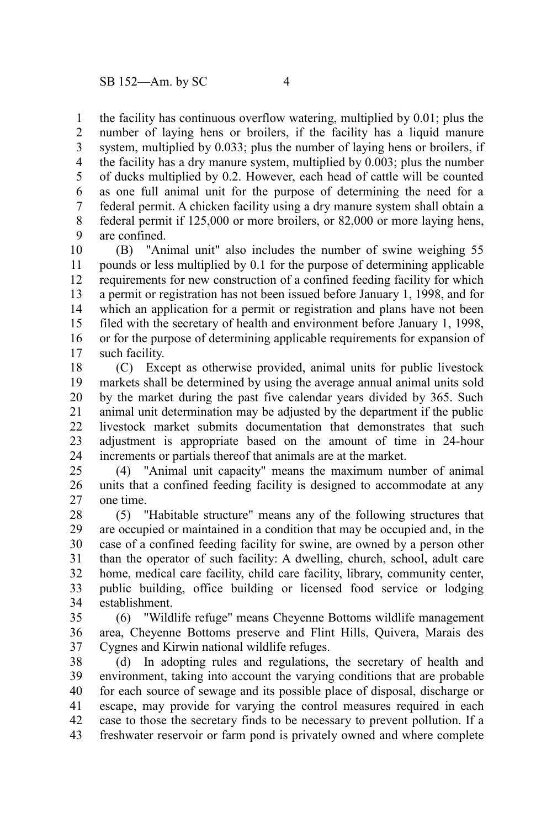the facility has continuous overflow watering, multiplied by 0.01; plus the number of laying hens or broilers, if the facility has a liquid manure system, multiplied by 0.033; plus the number of laying hens or broilers, if the facility has a dry manure system, multiplied by 0.003; plus the number of ducks multiplied by 0.2. However, each head of cattle will be counted as one full animal unit for the purpose of determining the need for a federal permit. A chicken facility using a dry manure system shall obtain a federal permit if 125,000 or more broilers, or 82,000 or more laying hens, are confined. 1 2 3 4 5 6 7 8 9

(B) "Animal unit" also includes the number of swine weighing 55 pounds or less multiplied by 0.1 for the purpose of determining applicable requirements for new construction of a confined feeding facility for which a permit or registration has not been issued before January 1, 1998, and for which an application for a permit or registration and plans have not been filed with the secretary of health and environment before January 1, 1998, or for the purpose of determining applicable requirements for expansion of such facility. 10 11 12 13 14 15 16 17

(C) Except as otherwise provided, animal units for public livestock markets shall be determined by using the average annual animal units sold by the market during the past five calendar years divided by 365. Such animal unit determination may be adjusted by the department if the public livestock market submits documentation that demonstrates that such adjustment is appropriate based on the amount of time in 24-hour increments or partials thereof that animals are at the market. 18 19 20 21 22 23 24

(4) "Animal unit capacity" means the maximum number of animal units that a confined feeding facility is designed to accommodate at any one time. 25 26 27

(5) "Habitable structure" means any of the following structures that are occupied or maintained in a condition that may be occupied and, in the case of a confined feeding facility for swine, are owned by a person other than the operator of such facility: A dwelling, church, school, adult care home, medical care facility, child care facility, library, community center, public building, office building or licensed food service or lodging establishment. 28 29 30 31 32 33 34

(6) "Wildlife refuge" means Cheyenne Bottoms wildlife management area, Cheyenne Bottoms preserve and Flint Hills, Quivera, Marais des Cygnes and Kirwin national wildlife refuges. 35 36 37

(d) In adopting rules and regulations, the secretary of health and environment, taking into account the varying conditions that are probable for each source of sewage and its possible place of disposal, discharge or escape, may provide for varying the control measures required in each case to those the secretary finds to be necessary to prevent pollution. If a freshwater reservoir or farm pond is privately owned and where complete 38 39 40 41 42 43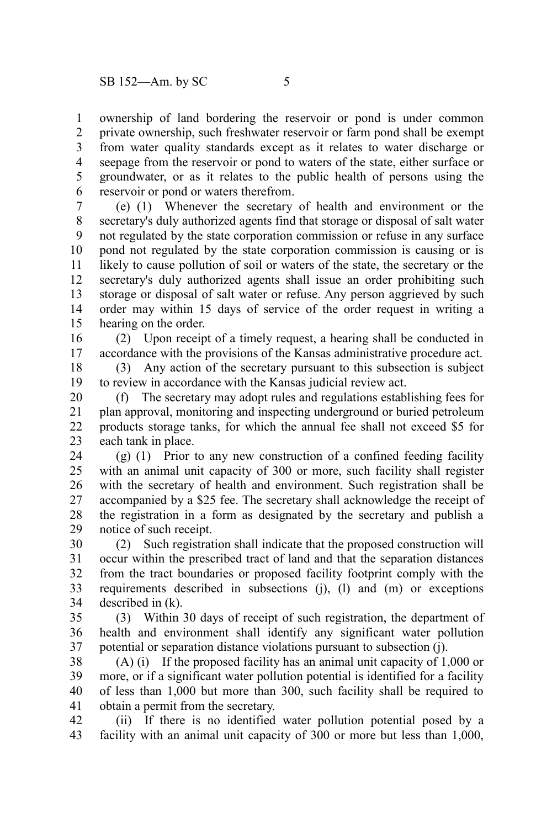ownership of land bordering the reservoir or pond is under common private ownership, such freshwater reservoir or farm pond shall be exempt from water quality standards except as it relates to water discharge or seepage from the reservoir or pond to waters of the state, either surface or groundwater, or as it relates to the public health of persons using the reservoir or pond or waters therefrom. 1 2 3 4 5 6

(e) (1) Whenever the secretary of health and environment or the secretary's duly authorized agents find that storage or disposal of salt water not regulated by the state corporation commission or refuse in any surface pond not regulated by the state corporation commission is causing or is likely to cause pollution of soil or waters of the state, the secretary or the secretary's duly authorized agents shall issue an order prohibiting such storage or disposal of salt water or refuse. Any person aggrieved by such order may within 15 days of service of the order request in writing a hearing on the order. 7 8 9 10 11 12 13 14 15

(2) Upon receipt of a timely request, a hearing shall be conducted in accordance with the provisions of the Kansas administrative procedure act. 16 17

(3) Any action of the secretary pursuant to this subsection is subject to review in accordance with the Kansas judicial review act. 18 19

(f) The secretary may adopt rules and regulations establishing fees for plan approval, monitoring and inspecting underground or buried petroleum products storage tanks, for which the annual fee shall not exceed \$5 for each tank in place. 20 21 22 23

(g) (1) Prior to any new construction of a confined feeding facility with an animal unit capacity of 300 or more, such facility shall register with the secretary of health and environment. Such registration shall be accompanied by a \$25 fee. The secretary shall acknowledge the receipt of the registration in a form as designated by the secretary and publish a notice of such receipt. 24 25 26 27 28 29

(2) Such registration shall indicate that the proposed construction will occur within the prescribed tract of land and that the separation distances from the tract boundaries or proposed facility footprint comply with the requirements described in subsections (j), (l) and (m) or exceptions described in (k). 30 31 32 33 34

(3) Within 30 days of receipt of such registration, the department of health and environment shall identify any significant water pollution potential or separation distance violations pursuant to subsection (j). 35 36 37

(A) (i) If the proposed facility has an animal unit capacity of 1,000 or more, or if a significant water pollution potential is identified for a facility of less than 1,000 but more than 300, such facility shall be required to obtain a permit from the secretary. 38 39 40 41

(ii) If there is no identified water pollution potential posed by a facility with an animal unit capacity of 300 or more but less than 1,000, 42 43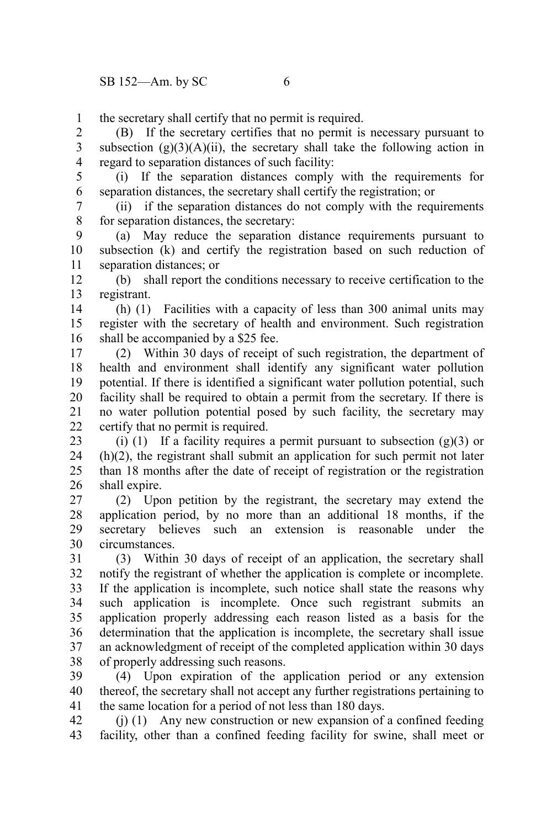the secretary shall certify that no permit is required. 1

(B) If the secretary certifies that no permit is necessary pursuant to subsection  $(g)(3)(A)(ii)$ , the secretary shall take the following action in regard to separation distances of such facility: 2 3 4

5

(i) If the separation distances comply with the requirements for separation distances, the secretary shall certify the registration; or 6

(ii) if the separation distances do not comply with the requirements for separation distances, the secretary: 7 8

(a) May reduce the separation distance requirements pursuant to subsection (k) and certify the registration based on such reduction of separation distances; or 9 10 11

(b) shall report the conditions necessary to receive certification to the registrant. 12 13

(h) (1) Facilities with a capacity of less than 300 animal units may register with the secretary of health and environment. Such registration shall be accompanied by a \$25 fee. 14 15 16

(2) Within 30 days of receipt of such registration, the department of health and environment shall identify any significant water pollution potential. If there is identified a significant water pollution potential, such facility shall be required to obtain a permit from the secretary. If there is no water pollution potential posed by such facility, the secretary may certify that no permit is required. 17 18 19 20 21 22

(i) (1) If a facility requires a permit pursuant to subsection  $(g)(3)$  or (h)(2), the registrant shall submit an application for such permit not later than 18 months after the date of receipt of registration or the registration shall expire. 23 24 25 26

(2) Upon petition by the registrant, the secretary may extend the application period, by no more than an additional 18 months, if the secretary believes such an extension is reasonable under the circumstances. 27 28 29 30

(3) Within 30 days of receipt of an application, the secretary shall notify the registrant of whether the application is complete or incomplete. If the application is incomplete, such notice shall state the reasons why such application is incomplete. Once such registrant submits an application properly addressing each reason listed as a basis for the determination that the application is incomplete, the secretary shall issue an acknowledgment of receipt of the completed application within 30 days of properly addressing such reasons. 31 32 33 34 35 36 37 38

(4) Upon expiration of the application period or any extension thereof, the secretary shall not accept any further registrations pertaining to the same location for a period of not less than 180 days. 39 40 41

(j) (1) Any new construction or new expansion of a confined feeding facility, other than a confined feeding facility for swine, shall meet or 42 43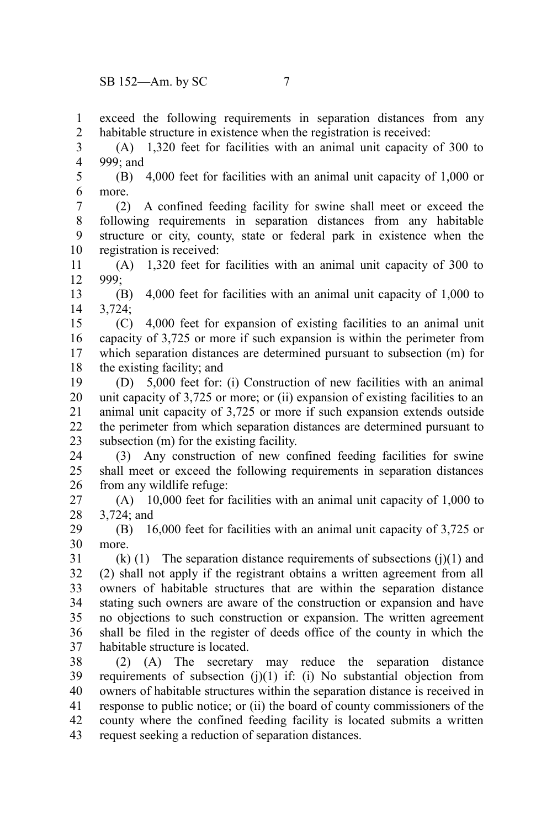exceed the following requirements in separation distances from any habitable structure in existence when the registration is received: 1 2

(A) 1,320 feet for facilities with an animal unit capacity of 300 to 999; and 3 4

(B) 4,000 feet for facilities with an animal unit capacity of 1,000 or more. 5 6

(2) A confined feeding facility for swine shall meet or exceed the following requirements in separation distances from any habitable structure or city, county, state or federal park in existence when the registration is received: 7 8 9 10

(A) 1,320 feet for facilities with an animal unit capacity of 300 to 999; 11 12

(B) 4,000 feet for facilities with an animal unit capacity of 1,000 to 3,724; 13 14

(C) 4,000 feet for expansion of existing facilities to an animal unit capacity of 3,725 or more if such expansion is within the perimeter from which separation distances are determined pursuant to subsection (m) for the existing facility; and 15 16 17 18

(D) 5,000 feet for: (i) Construction of new facilities with an animal unit capacity of 3,725 or more; or (ii) expansion of existing facilities to an animal unit capacity of 3,725 or more if such expansion extends outside the perimeter from which separation distances are determined pursuant to subsection (m) for the existing facility. 19 20 21 22 23

(3) Any construction of new confined feeding facilities for swine shall meet or exceed the following requirements in separation distances from any wildlife refuge: 24 25 26

(A) 10,000 feet for facilities with an animal unit capacity of 1,000 to 3,724; and 27 28

(B) 16,000 feet for facilities with an animal unit capacity of 3,725 or more. 29 30

 $(k)$  (1) The separation distance requirements of subsections (j)(1) and (2) shall not apply if the registrant obtains a written agreement from all owners of habitable structures that are within the separation distance stating such owners are aware of the construction or expansion and have no objections to such construction or expansion. The written agreement shall be filed in the register of deeds office of the county in which the habitable structure is located. 31 32 33 34 35 36 37

(2) (A) The secretary may reduce the separation distance requirements of subsection  $(i)(1)$  if:  $(i)$  No substantial objection from owners of habitable structures within the separation distance is received in response to public notice; or (ii) the board of county commissioners of the county where the confined feeding facility is located submits a written request seeking a reduction of separation distances. 38 39 40 41 42 43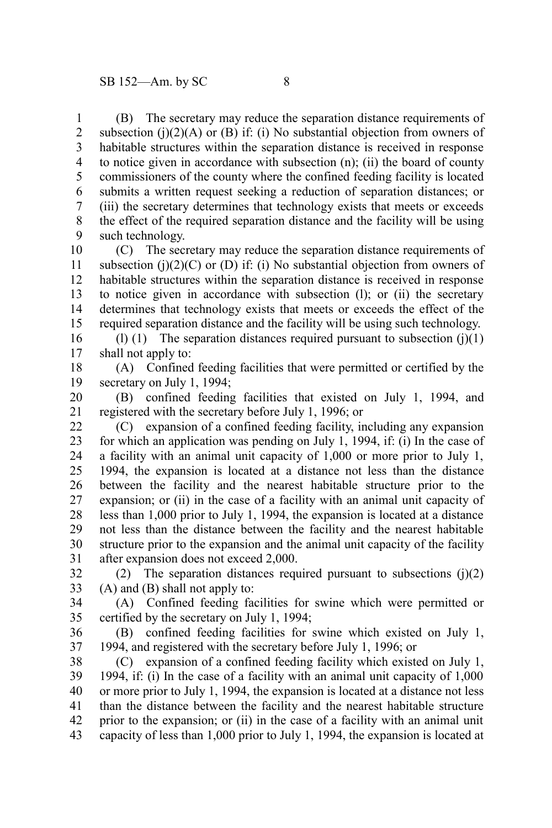(B) The secretary may reduce the separation distance requirements of subsection (j)(2)(A) or (B) if: (i) No substantial objection from owners of habitable structures within the separation distance is received in response to notice given in accordance with subsection (n); (ii) the board of county commissioners of the county where the confined feeding facility is located submits a written request seeking a reduction of separation distances; or (iii) the secretary determines that technology exists that meets or exceeds the effect of the required separation distance and the facility will be using such technology. 1 2 3 4 5 6 7 8 9

(C) The secretary may reduce the separation distance requirements of subsection (j) $(2)(C)$  or (D) if: (i) No substantial objection from owners of habitable structures within the separation distance is received in response to notice given in accordance with subsection (l); or (ii) the secretary determines that technology exists that meets or exceeds the effect of the required separation distance and the facility will be using such technology. 10 11 12 13 14 15

(l) (1) The separation distances required pursuant to subsection  $(i)(1)$ shall not apply to: 16 17

(A) Confined feeding facilities that were permitted or certified by the secretary on July 1, 1994; 18 19

(B) confined feeding facilities that existed on July 1, 1994, and registered with the secretary before July 1, 1996; or 20 21

(C) expansion of a confined feeding facility, including any expansion for which an application was pending on July 1, 1994, if: (i) In the case of a facility with an animal unit capacity of 1,000 or more prior to July 1, 1994, the expansion is located at a distance not less than the distance between the facility and the nearest habitable structure prior to the expansion; or (ii) in the case of a facility with an animal unit capacity of less than 1,000 prior to July 1, 1994, the expansion is located at a distance not less than the distance between the facility and the nearest habitable structure prior to the expansion and the animal unit capacity of the facility after expansion does not exceed 2,000. 22 23 24 25 26 27 28 29 30 31

(2) The separation distances required pursuant to subsections  $(j)(2)$ (A) and (B) shall not apply to: 32 33

(A) Confined feeding facilities for swine which were permitted or certified by the secretary on July 1, 1994; 34 35

(B) confined feeding facilities for swine which existed on July 1, 1994, and registered with the secretary before July 1, 1996; or 36 37

(C) expansion of a confined feeding facility which existed on July 1, 1994, if: (i) In the case of a facility with an animal unit capacity of 1,000 or more prior to July 1, 1994, the expansion is located at a distance not less than the distance between the facility and the nearest habitable structure prior to the expansion; or (ii) in the case of a facility with an animal unit capacity of less than 1,000 prior to July 1, 1994, the expansion is located at 38 39 40 41 42 43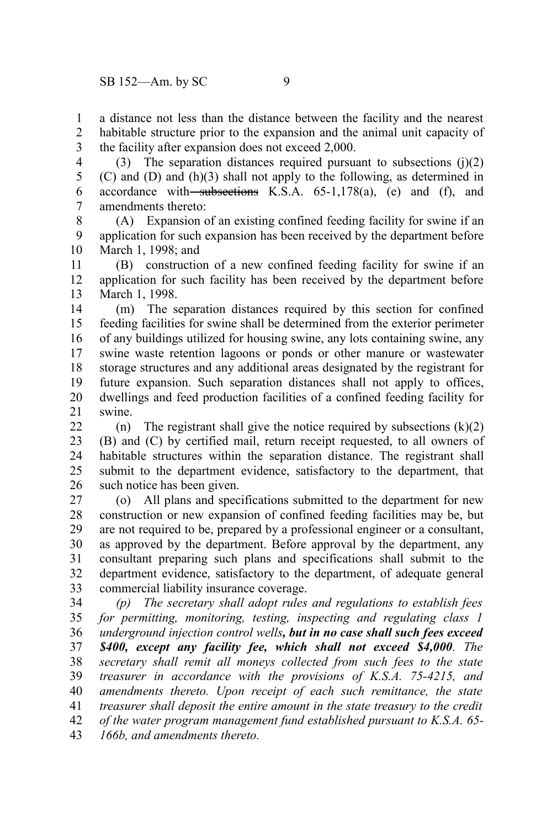a distance not less than the distance between the facility and the nearest habitable structure prior to the expansion and the animal unit capacity of the facility after expansion does not exceed 2,000. 1 2 3

(3) The separation distances required pursuant to subsections  $(i)(2)$ (C) and (D) and (h)(3) shall not apply to the following, as determined in accordance with subsections K.S.A.  $65-1,178(a)$ , (e) and (f), and amendments thereto: 4 5 6 7

(A) Expansion of an existing confined feeding facility for swine if an application for such expansion has been received by the department before March 1, 1998; and 8 9 10

(B) construction of a new confined feeding facility for swine if an application for such facility has been received by the department before March 1, 1998. 11 12 13

(m) The separation distances required by this section for confined feeding facilities for swine shall be determined from the exterior perimeter of any buildings utilized for housing swine, any lots containing swine, any swine waste retention lagoons or ponds or other manure or wastewater storage structures and any additional areas designated by the registrant for future expansion. Such separation distances shall not apply to offices, dwellings and feed production facilities of a confined feeding facility for swine. 14 15 16 17 18 19 20 21

(n) The registrant shall give the notice required by subsections  $(k)(2)$ (B) and (C) by certified mail, return receipt requested, to all owners of habitable structures within the separation distance. The registrant shall submit to the department evidence, satisfactory to the department, that such notice has been given. 22 23 24 25 26

(o) All plans and specifications submitted to the department for new construction or new expansion of confined feeding facilities may be, but are not required to be, prepared by a professional engineer or a consultant, as approved by the department. Before approval by the department, any consultant preparing such plans and specifications shall submit to the department evidence, satisfactory to the department, of adequate general commercial liability insurance coverage. 27 28 29 30 31 32 33

*(p) The secretary shall adopt rules and regulations to establish fees for permitting, monitoring, testing, inspecting and regulating class 1 underground injection control wells, but in no case shall such fees exceed \$400, except any facility fee, which shall not exceed \$4,000. The secretary shall remit all moneys collected from such fees to the state treasurer in accordance with the provisions of K.S.A. 75-4215, and amendments thereto. Upon receipt of each such remittance, the state treasurer shall deposit the entire amount in the state treasury to the credit of the water program management fund established pursuant to K.S.A. 65- 166b, and amendments thereto.* 34 35 36 37 38 39 40 41 42 43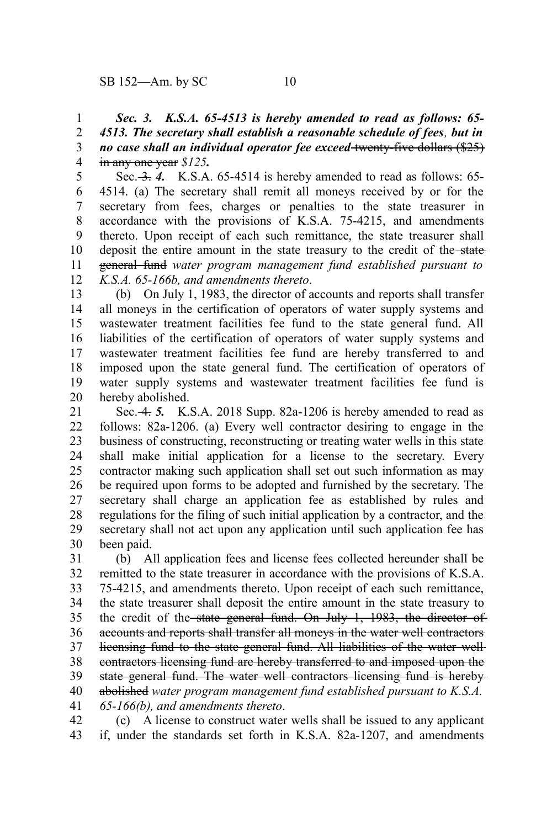*Sec. 3. K.S.A. 65-4513 is hereby amended to read as follows: 65- 4513. The secretary shall establish a reasonable schedule of fees, but in no case shall an individual operator fee exceed* twenty-five dollars (\$25) in any one year *\$125.* 1 2 3 4

Sec. 3. 4. K.S.A. 65-4514 is hereby amended to read as follows: 65-4514. (a) The secretary shall remit all moneys received by or for the secretary from fees, charges or penalties to the state treasurer in accordance with the provisions of K.S.A. 75-4215, and amendments thereto. Upon receipt of each such remittance, the state treasurer shall deposit the entire amount in the state treasury to the credit of the-stategeneral fund *water program management fund established pursuant to K.S.A. 65-166b, and amendments thereto*. 5 6 7 8 9 10 11 12

(b) On July 1, 1983, the director of accounts and reports shall transfer all moneys in the certification of operators of water supply systems and wastewater treatment facilities fee fund to the state general fund. All liabilities of the certification of operators of water supply systems and wastewater treatment facilities fee fund are hereby transferred to and imposed upon the state general fund. The certification of operators of water supply systems and wastewater treatment facilities fee fund is hereby abolished. 13 14 15 16 17 18 19 20

Sec. 4. *5.* K.S.A. 2018 Supp. 82a-1206 is hereby amended to read as follows: 82a-1206. (a) Every well contractor desiring to engage in the business of constructing, reconstructing or treating water wells in this state shall make initial application for a license to the secretary. Every contractor making such application shall set out such information as may be required upon forms to be adopted and furnished by the secretary. The secretary shall charge an application fee as established by rules and regulations for the filing of such initial application by a contractor, and the secretary shall not act upon any application until such application fee has been paid. 21 22 23 24 25 26 27 28 29 30

(b) All application fees and license fees collected hereunder shall be remitted to the state treasurer in accordance with the provisions of K.S.A. 75-4215, and amendments thereto. Upon receipt of each such remittance, the state treasurer shall deposit the entire amount in the state treasury to the credit of the state general fund. On July 1, 1983, the director of accounts and reports shall transfer all moneys in the water well contractors licensing fund to the state general fund. All liabilities of the water wellcontractors licensing fund are hereby transferred to and imposed upon the state general fund. The water well contractors licensing fund is hereby abolished *water program management fund established pursuant to K.S.A. 65-166(b), and amendments thereto*. 31 32 33 34 35 36 37 38 39 40 41

(c) A license to construct water wells shall be issued to any applicant if, under the standards set forth in K.S.A. 82a-1207, and amendments 42 43